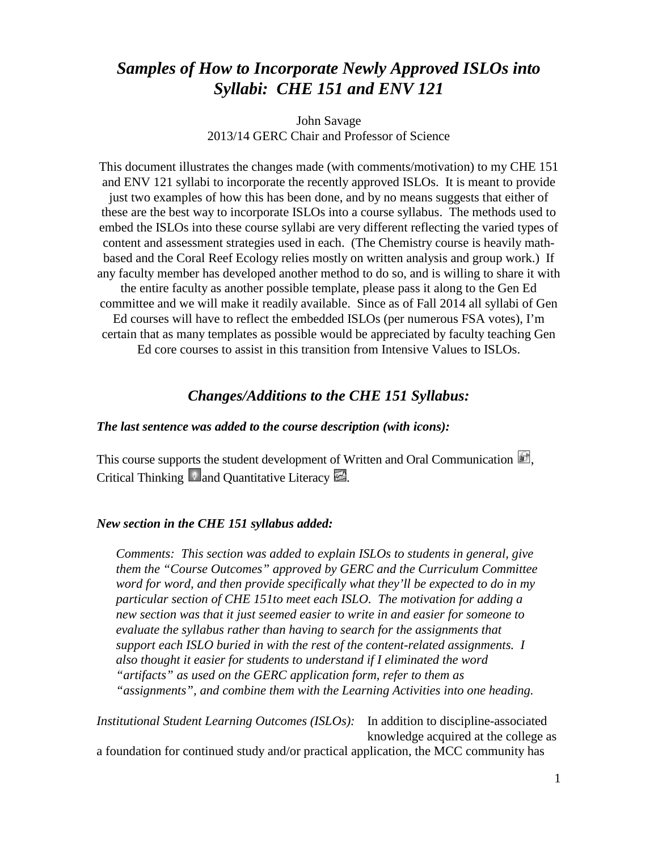# *Samples of How to Incorporate Newly Approved ISLOs into Syllabi: CHE 151 and ENV 121*

John Savage 2013/14 GERC Chair and Professor of Science

This document illustrates the changes made (with comments/motivation) to my CHE 151 and ENV 121 syllabi to incorporate the recently approved ISLOs. It is meant to provide just two examples of how this has been done, and by no means suggests that either of these are the best way to incorporate ISLOs into a course syllabus. The methods used to embed the ISLOs into these course syllabi are very different reflecting the varied types of content and assessment strategies used in each. (The Chemistry course is heavily mathbased and the Coral Reef Ecology relies mostly on written analysis and group work.) If any faculty member has developed another method to do so, and is willing to share it with the entire faculty as another possible template, please pass it along to the Gen Ed committee and we will make it readily available. Since as of Fall 2014 all syllabi of Gen Ed courses will have to reflect the embedded ISLOs (per numerous FSA votes), I'm certain that as many templates as possible would be appreciated by faculty teaching Gen Ed core courses to assist in this transition from Intensive Values to ISLOs.

## *Changes/Additions to the CHE 151 Syllabus:*

### *The last sentence was added to the course description (with icons):*

This course supports the student development of Written and Oral Communication  $\mathbb{R}$ . Critical Thinking  $\bullet$  and Quantitative Literacy  $\blacksquare$ .

#### *New section in the CHE 151 syllabus added:*

*Comments: This section was added to explain ISLOs to students in general, give them the "Course Outcomes" approved by GERC and the Curriculum Committee word for word, and then provide specifically what they'll be expected to do in my particular section of CHE 151to meet each ISLO. The motivation for adding a new section was that it just seemed easier to write in and easier for someone to evaluate the syllabus rather than having to search for the assignments that support each ISLO buried in with the rest of the content-related assignments. I also thought it easier for students to understand if I eliminated the word "artifacts" as used on the GERC application form, refer to them as "assignments", and combine them with the Learning Activities into one heading.*

*Institutional Student Learning Outcomes (ISLOs):* In addition to discipline-associated knowledge acquired at the college as a foundation for continued study and/or practical application, the MCC community has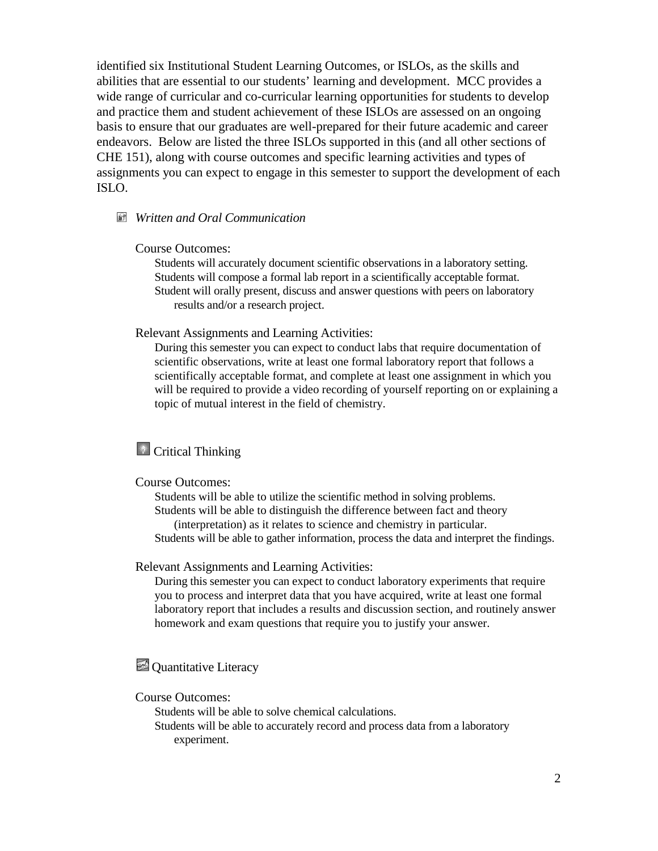identified six Institutional Student Learning Outcomes, or ISLOs, as the skills and abilities that are essential to our students' learning and development. MCC provides a wide range of curricular and co-curricular learning opportunities for students to develop and practice them and student achievement of these ISLOs are assessed on an ongoing basis to ensure that our graduates are well-prepared for their future academic and career endeavors. Below are listed the three ISLOs supported in this (and all other sections of CHE 151), along with course outcomes and specific learning activities and types of assignments you can expect to engage in this semester to support the development of each ISLO.

### *Written and Oral Communication*

#### Course Outcomes:

Students will accurately document scientific observations in a laboratory setting. Students will compose a formal lab report in a scientifically acceptable format. Student will orally present, discuss and answer questions with peers on laboratory results and/or a research project.

#### Relevant Assignments and Learning Activities:

During this semester you can expect to conduct labs that require documentation of scientific observations, write at least one formal laboratory report that follows a scientifically acceptable format, and complete at least one assignment in which you will be required to provide a video recording of yourself reporting on or explaining a topic of mutual interest in the field of chemistry.

# **Critical Thinking**

#### Course Outcomes:

Students will be able to utilize the scientific method in solving problems. Students will be able to distinguish the difference between fact and theory (interpretation) as it relates to science and chemistry in particular. Students will be able to gather information, process the data and interpret the findings.

#### Relevant Assignments and Learning Activities:

During this semester you can expect to conduct laboratory experiments that require you to process and interpret data that you have acquired, write at least one formal laboratory report that includes a results and discussion section, and routinely answer homework and exam questions that require you to justify your answer.

## **Quantitative Literacy**

#### Course Outcomes:

Students will be able to solve chemical calculations.

Students will be able to accurately record and process data from a laboratory experiment.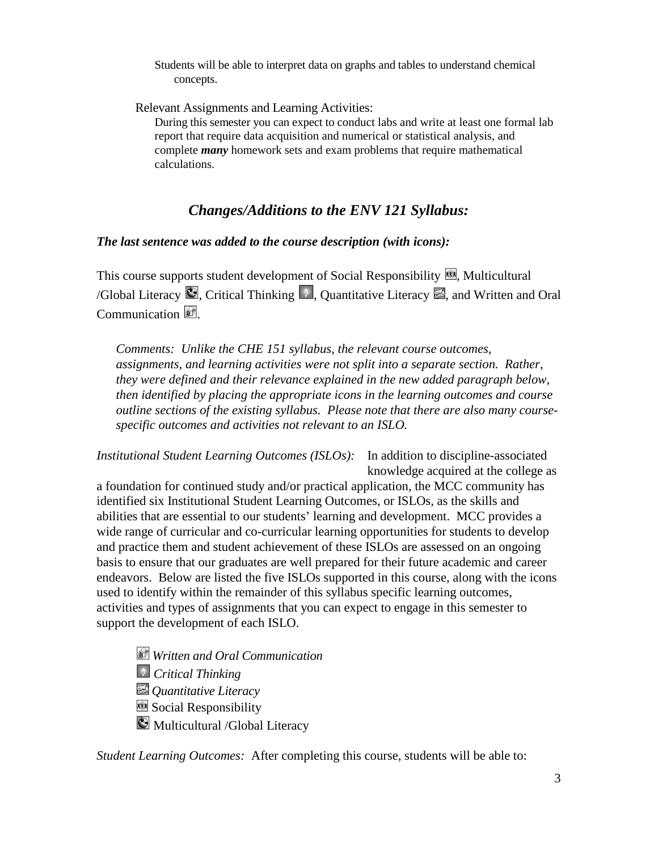Students will be able to interpret data on graphs and tables to understand chemical concepts.

Relevant Assignments and Learning Activities:

During this semester you can expect to conduct labs and write at least one formal lab report that require data acquisition and numerical or statistical analysis, and complete *many* homework sets and exam problems that require mathematical calculations.

## *Changes/Additions to the ENV 121 Syllabus:*

### *The last sentence was added to the course description (with icons):*

This course supports student development of Social Responsibility  $\blacksquare$ , Multicultural /Global Literacy  $\Box$ , Critical Thinking  $\Box$ , Quantitative Literacy  $\Box$ , and Written and Oral Communication **1**.

*Comments: Unlike the CHE 151 syllabus, the relevant course outcomes, assignments, and learning activities were not split into a separate section. Rather, they were defined and their relevance explained in the new added paragraph below, then identified by placing the appropriate icons in the learning outcomes and course outline sections of the existing syllabus. Please note that there are also many coursespecific outcomes and activities not relevant to an ISLO.*

*Institutional Student Learning Outcomes (ISLOs):* In addition to discipline-associated knowledge acquired at the college as

a foundation for continued study and/or practical application, the MCC community has identified six Institutional Student Learning Outcomes, or ISLOs, as the skills and abilities that are essential to our students' learning and development. MCC provides a wide range of curricular and co-curricular learning opportunities for students to develop and practice them and student achievement of these ISLOs are assessed on an ongoing basis to ensure that our graduates are well prepared for their future academic and career endeavors. Below are listed the five ISLOs supported in this course, along with the icons used to identify within the remainder of this syllabus specific learning outcomes, activities and types of assignments that you can expect to engage in this semester to support the development of each ISLO.

- *Written and Oral Communication*
- *Critical Thinking*
- *Quantitative Literacy*
- Social Responsibility
- **Multicultural /Global Literacy**

*Student Learning Outcomes:* After completing this course, students will be able to: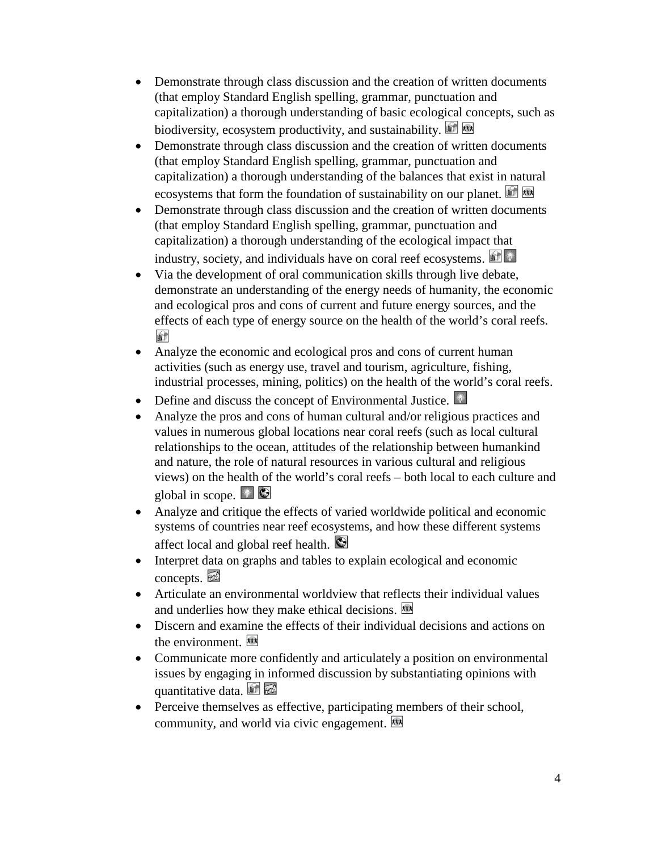- Demonstrate through class discussion and the creation of written documents (that employ Standard English spelling, grammar, punctuation and capitalization) a thorough understanding of basic ecological concepts, such as biodiversity, ecosystem productivity, and sustainability.
- Demonstrate through class discussion and the creation of written documents (that employ Standard English spelling, grammar, punctuation and capitalization) a thorough understanding of the balances that exist in natural ecosystems that form the foundation of sustainability on our planet.
- Demonstrate through class discussion and the creation of written documents (that employ Standard English spelling, grammar, punctuation and capitalization) a thorough understanding of the ecological impact that industry, society, and individuals have on coral reef ecosystems.
- Via the development of oral communication skills through live debate, demonstrate an understanding of the energy needs of humanity, the economic and ecological pros and cons of current and future energy sources, and the effects of each type of energy source on the health of the world's coral reefs. **A**
- Analyze the economic and ecological pros and cons of current human activities (such as energy use, travel and tourism, agriculture, fishing, industrial processes, mining, politics) on the health of the world's coral reefs.
- Define and discuss the concept of Environmental Justice.
- Analyze the pros and cons of human cultural and/or religious practices and values in numerous global locations near coral reefs (such as local cultural relationships to the ocean, attitudes of the relationship between humankind and nature, the role of natural resources in various cultural and religious views) on the health of the world's coral reefs – both local to each culture and global in scope.  $\Box$
- Analyze and critique the effects of varied worldwide political and economic systems of countries near reef ecosystems, and how these different systems affect local and global reef health.
- Interpret data on graphs and tables to explain ecological and economic  $concents.$
- Articulate an environmental worldview that reflects their individual values and underlies how they make ethical decisions.
- Discern and examine the effects of their individual decisions and actions on the environment.  $\overline{\mathbf{w}}$
- Communicate more confidently and articulately a position on environmental issues by engaging in informed discussion by substantiating opinions with quantitative data.
- Perceive themselves as effective, participating members of their school, community, and world via civic engagement.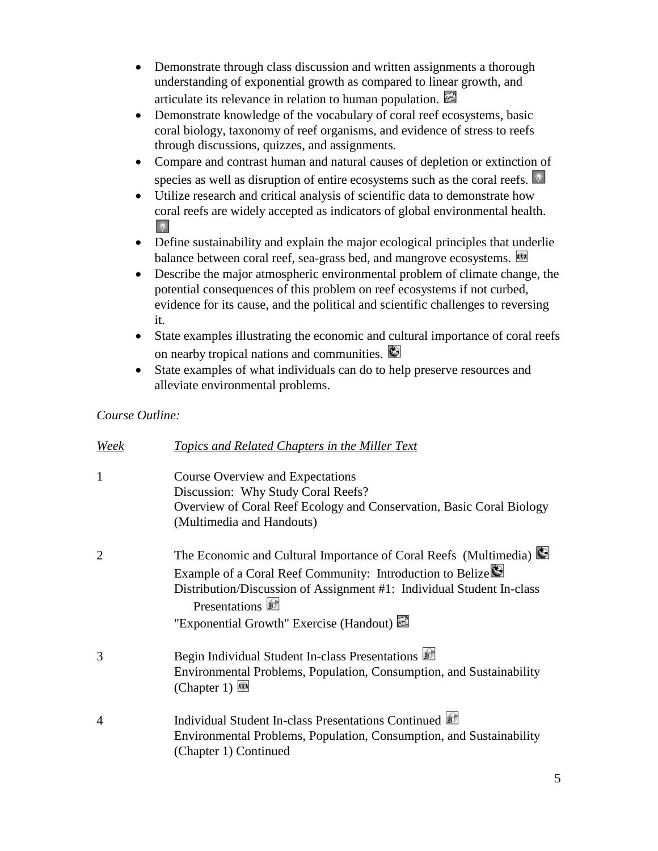- Demonstrate through class discussion and written assignments a thorough understanding of exponential growth as compared to linear growth, and articulate its relevance in relation to human population.
- Demonstrate knowledge of the vocabulary of coral reef ecosystems, basic coral biology, taxonomy of reef organisms, and evidence of stress to reefs through discussions, quizzes, and assignments.
- Compare and contrast human and natural causes of depletion or extinction of species as well as disruption of entire ecosystems such as the coral reefs.
- Utilize research and critical analysis of scientific data to demonstrate how coral reefs are widely accepted as indicators of global environmental health.  $\mathbb{R}^2$
- Define sustainability and explain the major ecological principles that underlie balance between coral reef, sea-grass bed, and mangrove ecosystems.
- Describe the major atmospheric environmental problem of climate change, the potential consequences of this problem on reef ecosystems if not curbed, evidence for its cause, and the political and scientific challenges to reversing it.
- State examples illustrating the economic and cultural importance of coral reefs on nearby tropical nations and communities.
- State examples of what individuals can do to help preserve resources and alleviate environmental problems.

## *Course Outline:*

| Week           | Topics and Related Chapters in the Miller Text                                                                                                                                                                                                                     |
|----------------|--------------------------------------------------------------------------------------------------------------------------------------------------------------------------------------------------------------------------------------------------------------------|
| $\mathbf{1}$   | <b>Course Overview and Expectations</b><br>Discussion: Why Study Coral Reefs?<br>Overview of Coral Reef Ecology and Conservation, Basic Coral Biology<br>(Multimedia and Handouts)                                                                                 |
| $\overline{2}$ | The Economic and Cultural Importance of Coral Reefs (Multimedia)<br>Example of a Coral Reef Community: Introduction to Belize<br>Distribution/Discussion of Assignment #1: Individual Student In-class<br>Presentations<br>"Exponential Growth" Exercise (Handout) |
| 3              | Begin Individual Student In-class Presentations<br>Environmental Problems, Population, Consumption, and Sustainability<br>(Chapter 1)                                                                                                                              |
| 4              | Individual Student In-class Presentations Continued<br>Environmental Problems, Population, Consumption, and Sustainability<br>(Chapter 1) Continued                                                                                                                |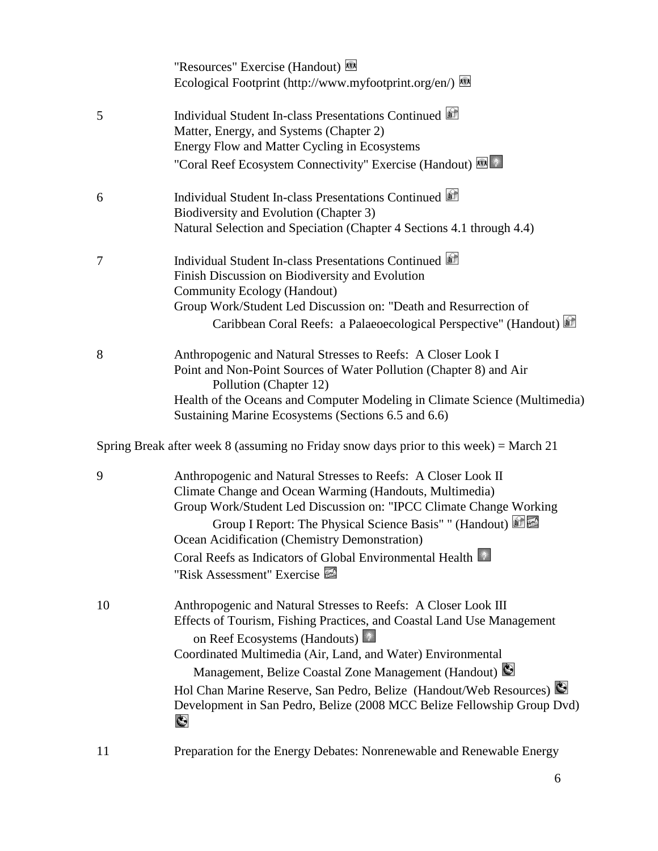|    | "Resources" Exercise (Handout)<br>Ecological Footprint (http://www.myfootprint.org/en/)                                                                                                                                                                                                                                                                                                                                                                           |
|----|-------------------------------------------------------------------------------------------------------------------------------------------------------------------------------------------------------------------------------------------------------------------------------------------------------------------------------------------------------------------------------------------------------------------------------------------------------------------|
| 5  | Individual Student In-class Presentations Continued<br>Matter, Energy, and Systems (Chapter 2)<br>Energy Flow and Matter Cycling in Ecosystems<br>"Coral Reef Ecosystem Connectivity" Exercise (Handout)                                                                                                                                                                                                                                                          |
| 6  | Individual Student In-class Presentations Continued<br>Biodiversity and Evolution (Chapter 3)<br>Natural Selection and Speciation (Chapter 4 Sections 4.1 through 4.4)                                                                                                                                                                                                                                                                                            |
| 7  | Individual Student In-class Presentations Continued<br>Finish Discussion on Biodiversity and Evolution<br><b>Community Ecology (Handout)</b><br>Group Work/Student Led Discussion on: "Death and Resurrection of<br>Caribbean Coral Reefs: a Palaeoecological Perspective" (Handout)                                                                                                                                                                              |
| 8  | Anthropogenic and Natural Stresses to Reefs: A Closer Look I<br>Point and Non-Point Sources of Water Pollution (Chapter 8) and Air<br>Pollution (Chapter 12)<br>Health of the Oceans and Computer Modeling in Climate Science (Multimedia)<br>Sustaining Marine Ecosystems (Sections 6.5 and 6.6)                                                                                                                                                                 |
|    | Spring Break after week 8 (assuming no Friday snow days prior to this week) = March 21                                                                                                                                                                                                                                                                                                                                                                            |
| 9  | Anthropogenic and Natural Stresses to Reefs: A Closer Look II<br>Climate Change and Ocean Warming (Handouts, Multimedia)<br>Group Work/Student Led Discussion on: "IPCC Climate Change Working<br>Group I Report: The Physical Science Basis" " (Handout)<br>Ocean Acidification (Chemistry Demonstration)<br>Coral Reefs as Indicators of Global Environmental Health<br>"Risk Assessment" Exercise                                                              |
| 10 | Anthropogenic and Natural Stresses to Reefs: A Closer Look III<br>Effects of Tourism, Fishing Practices, and Coastal Land Use Management<br>on Reef Ecosystems (Handouts)<br>Coordinated Multimedia (Air, Land, and Water) Environmental<br>Management, Belize Coastal Zone Management (Handout)<br>Hol Chan Marine Reserve, San Pedro, Belize (Handout/Web Resources)<br>Development in San Pedro, Belize (2008 MCC Belize Fellowship Group Dvd)<br>$\mathbf{C}$ |
| 11 | Preparation for the Energy Debates: Nonrenewable and Renewable Energy                                                                                                                                                                                                                                                                                                                                                                                             |